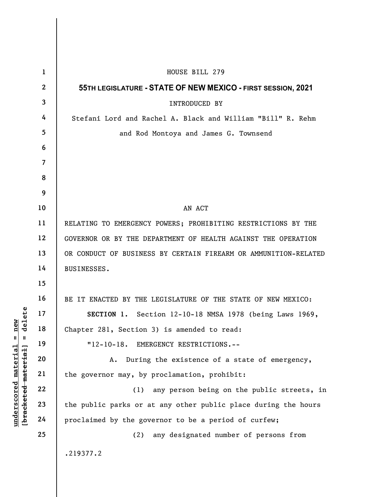|                                                                               | $\mathbf{1}$   | HOUSE BILL 279                                                  |
|-------------------------------------------------------------------------------|----------------|-----------------------------------------------------------------|
| delete<br>new<br>$\mathsf{I}$<br>Ш<br><u>material</u><br>[bracketed material] | $\mathbf{2}$   | 55TH LEGISLATURE - STATE OF NEW MEXICO - FIRST SESSION, 2021    |
|                                                                               | 3              | <b>INTRODUCED BY</b>                                            |
|                                                                               | 4              | Stefani Lord and Rachel A. Black and William "Bill" R. Rehm     |
|                                                                               | 5              | and Rod Montoya and James G. Townsend                           |
|                                                                               | 6              |                                                                 |
|                                                                               | $\overline{7}$ |                                                                 |
|                                                                               | 8              |                                                                 |
|                                                                               | 9              |                                                                 |
|                                                                               | 10             | AN ACT                                                          |
|                                                                               | 11             | RELATING TO EMERGENCY POWERS; PROHIBITING RESTRICTIONS BY THE   |
|                                                                               | 12             | GOVERNOR OR BY THE DEPARTMENT OF HEALTH AGAINST THE OPERATION   |
|                                                                               | 13             | OR CONDUCT OF BUSINESS BY CERTAIN FIREARM OR AMMUNITION-RELATED |
|                                                                               | 14             | BUSINESSES.                                                     |
|                                                                               | 15             |                                                                 |
|                                                                               | 16             | BE IT ENACTED BY THE LEGISLATURE OF THE STATE OF NEW MEXICO:    |
|                                                                               | 17             | SECTION 1. Section 12-10-18 NMSA 1978 (being Laws 1969,         |
|                                                                               | 18             | Chapter 281, Section 3) is amended to read:                     |
|                                                                               | 19             | "12-10-18. EMERGENCY RESTRICTIONS.--                            |
|                                                                               | 20             | During the existence of a state of emergency,<br>Α.             |
|                                                                               | 21             | the governor may, by proclamation, prohibit:                    |
|                                                                               | 22             | any person being on the public streets, in<br>(1)               |
| underscored                                                                   | 23             | the public parks or at any other public place during the hours  |
|                                                                               | 24             | proclaimed by the governor to be a period of curfew;            |
|                                                                               | 25             | any designated number of persons from<br>(2)                    |
|                                                                               |                | .219377.2                                                       |
|                                                                               |                |                                                                 |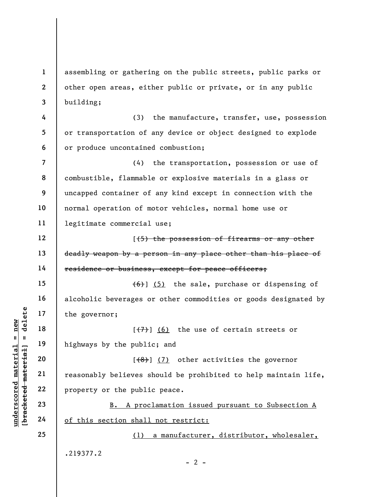1 2 3 assembling or gathering on the public streets, public parks or other open areas, either public or private, or in any public building;

(3) the manufacture, transfer, use, possession or transportation of any device or object designed to explode or produce uncontained combustion;

7 8 9 10 11 (4) the transportation, possession or use of combustible, flammable or explosive materials in a glass or uncapped container of any kind except in connection with the normal operation of motor vehicles, normal home use or legitimate commercial use;

[(5) the possession of firearms or any other deadly weapon by a person in any place other than his place of residence or business, except for peace officers;

 $(6)$ ] (5) the sale, purchase or dispensing of alcoholic beverages or other commodities or goods designated by the governor;

 $[**(7)**]$  (6) the use of certain streets or highways by the public; and

under 17<br>  $\begin{array}{c|c|c|c} \n\text{u} & \text{u} & \text{u} & \text{u} & \text{u} & \text{u} & \text{u} & \text{u} & \text{u} & \text{u} & \text{u} & \text{u} & \text{u} & \text{u} & \text{u} & \text{u} & \text{u} & \text{u} & \text{u} & \text{u} & \text{u} & \text{u} & \text{u} & \text{u} & \text{u} & \text{u} & \text{u} & \text{u} & \text{u} & \text{u} & \text{u} & \text{u} & \text{$  $(3)$  (7) other activities the governor reasonably believes should be prohibited to help maintain life, property or the public peace.

B. A proclamation issued pursuant to Subsection A of this section shall not restrict:

(1) a manufacturer, distributor, wholesaler,

 $- 2 -$ 

.219377.2

4

5

6

12

13

14

15

16

17

18

19

20

21

22

23

24

25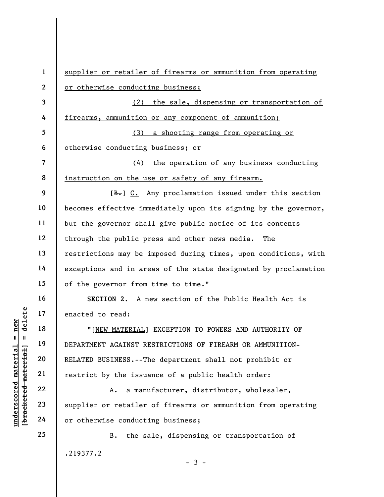UNDERTATE DEPARTMENT AGAINST RE<br>
WERE MATERIAL 19<br>
UNDERTATE DEPARTMENT AGAINST RE<br>
20<br>
TELATED BUSINESS.--Th<br>
TELATED BUSINESS.--Th<br>
TELATED BUSINESS.--Th<br>
TELATED BUSINESS.--Th<br>
TELATED BUSINESS.--Th<br>
TELATED BUSINESS.--1 2 3 4 5 6 7 8 9 10 11 12 13 14 15 16 17 18 19 20 21 22 23 24 25 supplier or retailer of firearms or ammunition from operating or otherwise conducting business; (2) the sale, dispensing or transportation of firearms, ammunition or any component of ammunition; (3) a shooting range from operating or otherwise conducting business; or (4) the operation of any business conducting instruction on the use or safety of any firearm.  $[B<sub>1</sub>]$  C. Any proclamation issued under this section becomes effective immediately upon its signing by the governor, but the governor shall give public notice of its contents through the public press and other news media. The restrictions may be imposed during times, upon conditions, with exceptions and in areas of the state designated by proclamation of the governor from time to time." SECTION 2. A new section of the Public Health Act is enacted to read: "[NEW MATERIAL] EXCEPTION TO POWERS AND AUTHORITY OF DEPARTMENT AGAINST RESTRICTIONS OF FIREARM OR AMMUNITION-RELATED BUSINESS.--The department shall not prohibit or restrict by the issuance of a public health order: A. a manufacturer, distributor, wholesaler, supplier or retailer of firearms or ammunition from operating or otherwise conducting business; B. the sale, dispensing or transportation of .219377.2  $-3 -$